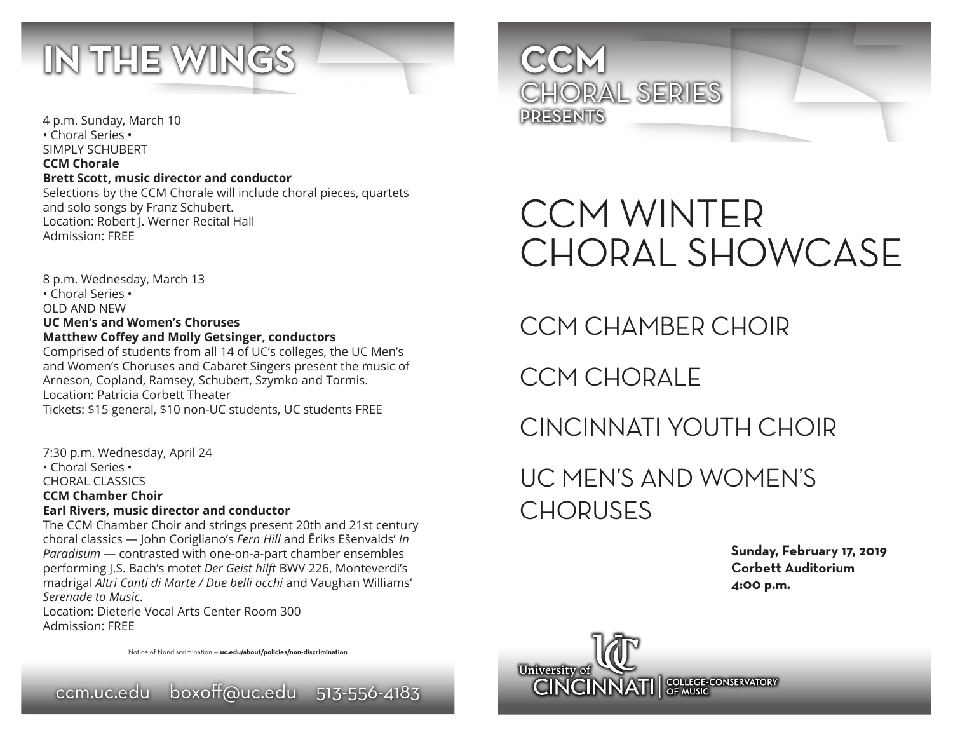

4 p.m. Sunday, March 10 • Choral Series • SIMPLY SCHUBERT **CCM Chorale Brett Scott, music director and conductor** Selections by the CCM Chorale will include choral pieces, quartets and solo songs by Franz Schubert. Location: Robert J. Werner Recital Hall Admission: FREE

8 p.m. Wednesday, March 13 • Choral Series • OLD AND NEW **UC Men's and Women's Choruses Matthew Coffey and Molly Getsinger, conductors** Comprised of students from all 14 of UC's colleges, the UC Men's and Women's Choruses and Cabaret Singers present the music of Arneson, Copland, Ramsey, Schubert, Szymko and Tormis. Location: Patricia Corbett Theater Tickets: \$15 general, \$10 non-UC students, UC students FREE

7:30 p.m. Wednesday, April 24 • Choral Series • CHORAL CLASSICS **CCM Chamber Choir Earl Rivers, music director and conductor** The CCM Chamber Choir and strings present 20th and 21st century

choral classics — John Corigliano's *Fern Hill* and Ēriks Ešenvalds' *In Paradisum* — contrasted with one-on-a-part chamber ensembles performing J.S. Bach's motet *Der Geist hilft* BWV 226, Monteverdi's madrigal *Altri Canti di Marte / Due belli occhi* and Vaughan Williams' *Serenade to Music*.

Location: Dieterle Vocal Arts Center Room 300 Admission: FREE

Notice of Nondiscrimination — **uc.edu/about/policies/non-discrimination**





# CCM WINTER CHORAL SHOWCASE

CCM CHAMBER CHOIR

CCM CHORALE

## CINCINNATI YOUTH CHOIR

UC MEN'S AND WOMEN'S CHORUSES

> **Sunday, February 17, 2019 Corbett Auditorium 4:00 p.m.**